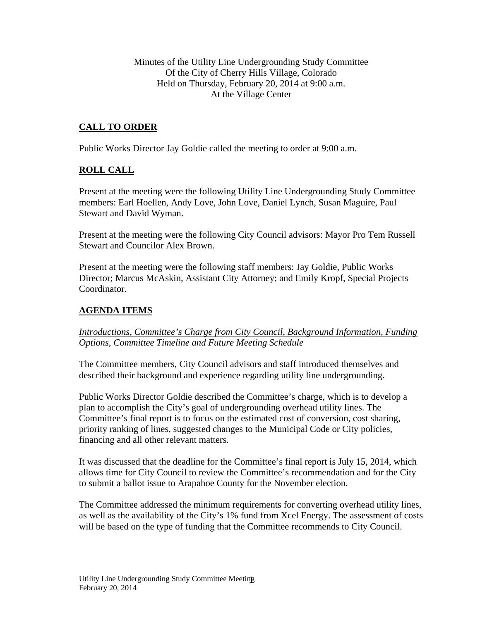Minutes of the Utility Line Undergrounding Study Committee Of the City of Cherry Hills Village, Colorado Held on Thursday, February 20, 2014 at 9:00 a.m. At the Village Center

# **CALL TO ORDER**

Public Works Director Jay Goldie called the meeting to order at 9:00 a.m.

## **ROLL CALL**

Present at the meeting were the following Utility Line Undergrounding Study Committee members: Earl Hoellen, Andy Love, John Love, Daniel Lynch, Susan Maguire, Paul Stewart and David Wyman.

Present at the meeting were the following City Council advisors: Mayor Pro Tem Russell Stewart and Councilor Alex Brown.

Present at the meeting were the following staff members: Jay Goldie, Public Works Director; Marcus McAskin, Assistant City Attorney; and Emily Kropf, Special Projects Coordinator.

## **AGENDA ITEMS**

## *Introductions, Committee's Charge from City Council, Background Information, Funding Options, Committee Timeline and Future Meeting Schedule*

The Committee members, City Council advisors and staff introduced themselves and described their background and experience regarding utility line undergrounding.

Public Works Director Goldie described the Committee's charge, which is to develop a plan to accomplish the City's goal of undergrounding overhead utility lines. The Committee's final report is to focus on the estimated cost of conversion, cost sharing, priority ranking of lines, suggested changes to the Municipal Code or City policies, financing and all other relevant matters.

It was discussed that the deadline for the Committee's final report is July 15, 2014, which allows time for City Council to review the Committee's recommendation and for the City to submit a ballot issue to Arapahoe County for the November election.

The Committee addressed the minimum requirements for converting overhead utility lines, as well as the availability of the City's 1% fund from Xcel Energy. The assessment of costs will be based on the type of funding that the Committee recommends to City Council.